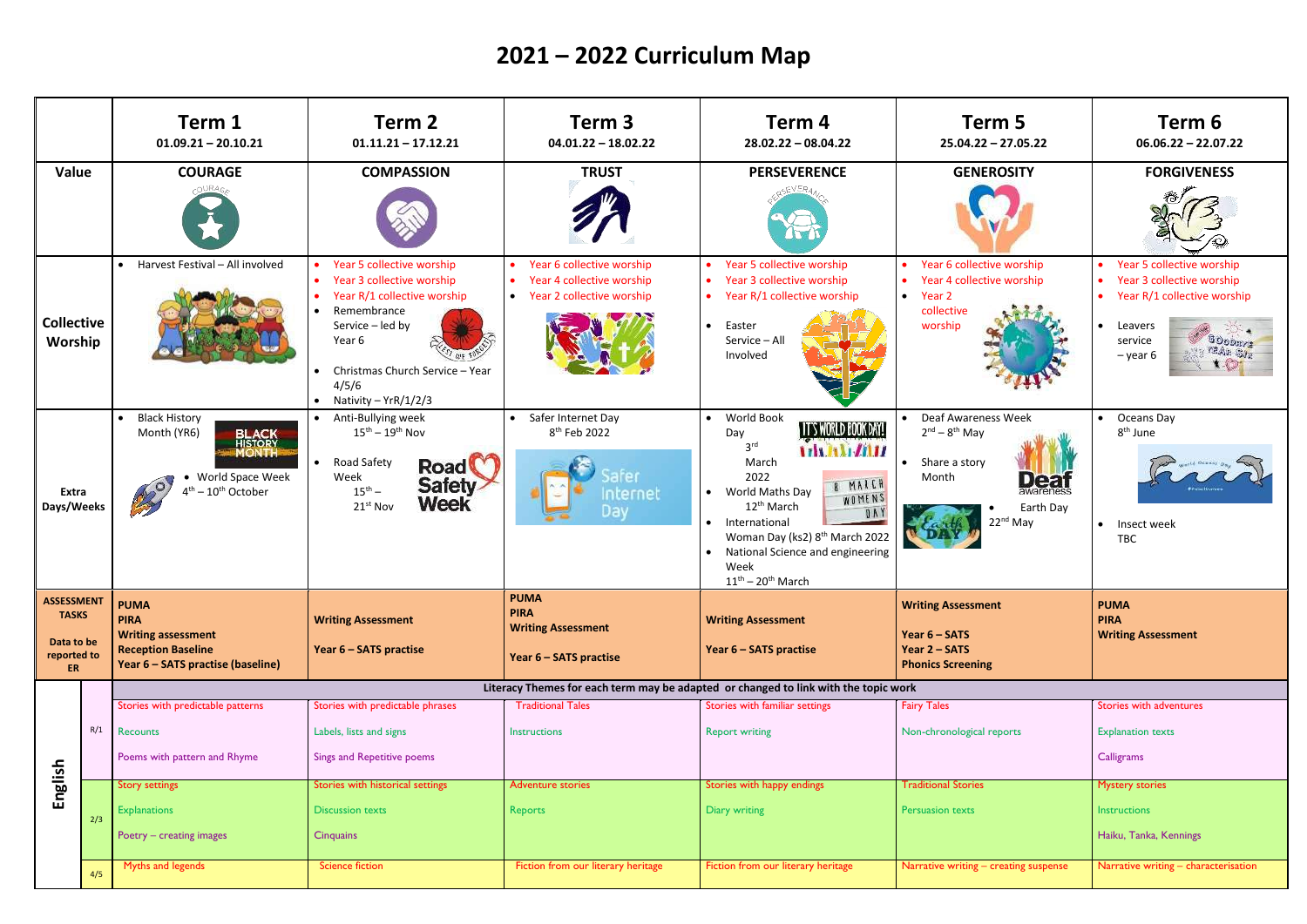|                                                                             |     | Term 1<br>$01.09.21 - 20.10.21$                                                                                           | Term 2<br>$01.11.21 - 17.12.21$                                                                                                                                                                              | Term 3<br>$04.01.22 - 18.02.22$                                                                    | Term 4<br>$28.02.22 - 08.04.22$                                                                                                                                                                                                                                                                                                         | Term 5<br>$25.04.22 - 27.05.22$                                                                                          | Term 6<br>$06.06.22 - 22.07.22$                                                                                           |  |  |  |
|-----------------------------------------------------------------------------|-----|---------------------------------------------------------------------------------------------------------------------------|--------------------------------------------------------------------------------------------------------------------------------------------------------------------------------------------------------------|----------------------------------------------------------------------------------------------------|-----------------------------------------------------------------------------------------------------------------------------------------------------------------------------------------------------------------------------------------------------------------------------------------------------------------------------------------|--------------------------------------------------------------------------------------------------------------------------|---------------------------------------------------------------------------------------------------------------------------|--|--|--|
| Value                                                                       |     | <b>COURAGE</b>                                                                                                            | <b>COMPASSION</b>                                                                                                                                                                                            |                                                                                                    | <b>PERSEVERENCE</b><br><b>TRUST</b>                                                                                                                                                                                                                                                                                                     |                                                                                                                          | <b>FORGIVENESS</b>                                                                                                        |  |  |  |
| <b>Collective</b><br>Worship<br>Extra<br>Days/Weeks                         |     | • Harvest Festival - All involved                                                                                         | • Year 5 collective worship<br>Year 3 collective worship<br>Year R/1 collective worship<br>Remembrance<br>Service - led by<br>Year 6<br>Christmas Church Service - Year<br>4/5/6<br>• Nativity – $YrR/1/2/3$ | Year 6 collective worship<br>Year 4 collective worship<br>$\bullet$<br>• Year 2 collective worship | Year 5 collective worship<br>$\bullet$<br>Year 3 collective worship<br>$\bullet$<br>• Year $R/1$ collective worship<br>Easter<br>$\bullet$<br>Service - All<br>Involved                                                                                                                                                                 | • Year 6 collective worship<br>• Year 4 collective worship<br>$\bullet$ Year 2<br>collective<br>worship                  | Year 5 collective worship<br>Year 3 collective worship<br>Year R/1 collective worship<br>Leavers<br>service<br>$-$ year 6 |  |  |  |
|                                                                             |     | <b>Black History</b><br>Month (YR6)<br>World Space Week<br>$4th - 10th$ October                                           | • Anti-Bullying week<br>$15^{\text{th}} - 19^{\text{th}}$ Nov<br>Road Safety<br><b>Road</b><br>Week<br><b>Safety</b><br>$15^{th} -$<br><b>Week</b><br>21st Nov                                               | • Safer Internet Day<br>8 <sup>th</sup> Feb 2022<br>Internet<br>Day                                | World Book<br>$\bullet$<br>IT'S WORLD BOOK DAY!<br>Day<br>3 <sup>rd</sup><br><b>The Ale Alta</b><br>March<br>2022<br>B MARCH<br>World Maths Day<br>WOMENS<br>12 <sup>th</sup> March<br>0 <sub>N</sub><br>International<br>Woman Day (ks2) 8 <sup>th</sup> March 2022<br>National Science and engineering<br>Week<br>$11th - 20th$ March | • Deaf Awareness Week<br>$2nd - 8th$ May<br>• Share a story<br>Month<br>$D \in \Xi$<br>Earth Day<br>22 <sup>nd</sup> May | Oceans Day<br>$\bullet$<br>8 <sup>th</sup> June<br>Insect week<br>$\bullet$<br>TBC                                        |  |  |  |
| <b>ASSESSMENT</b><br><b>TASKS</b><br>Data to be<br>reported to<br><b>ER</b> |     | <b>PUMA</b><br><b>PIRA</b><br><b>Writing assessment</b><br><b>Reception Baseline</b><br>Year 6 - SATS practise (baseline) | <b>Writing Assessment</b><br>Year 6 - SATS practise                                                                                                                                                          | <b>PUMA</b><br><b>PIRA</b><br><b>Writing Assessment</b><br>Year 6 - SATS practise                  | <b>Writing Assessment</b><br>Year 6 - SATS practise                                                                                                                                                                                                                                                                                     | <b>Writing Assessment</b><br>Year 6 - SATS<br>Year 2 - SATS<br><b>Phonics Screening</b>                                  | <b>PUMA</b><br><b>PIRA</b><br><b>Writing Assessment</b>                                                                   |  |  |  |
|                                                                             |     | Literacy Themes for each term may be adapted or changed to link with the topic work                                       |                                                                                                                                                                                                              |                                                                                                    |                                                                                                                                                                                                                                                                                                                                         |                                                                                                                          |                                                                                                                           |  |  |  |
|                                                                             | R/1 | Stories with predictable patterns<br>Recounts<br>Poems with pattern and Rhyme                                             | Stories with predictable phrases<br>Labels, lists and signs<br>Sings and Repetitive poems                                                                                                                    | <b>Traditional Tales</b><br>Instructions                                                           | Stories with familiar settings<br><b>Report writing</b>                                                                                                                                                                                                                                                                                 | <b>Fairy Tales</b><br>Non-chronological reports                                                                          | Stories with adventures<br><b>Explanation texts</b><br>Calligrams                                                         |  |  |  |
| English                                                                     |     | <b>Story settings</b>                                                                                                     | Stories with historical settings                                                                                                                                                                             | <b>Adventure stories</b>                                                                           | Stories with happy endings                                                                                                                                                                                                                                                                                                              | <b>Traditional Stories</b>                                                                                               | <b>Mystery stories</b>                                                                                                    |  |  |  |
|                                                                             | 2/3 | <b>Explanations</b><br>Poetry - creating images                                                                           | <b>Discussion texts</b><br><b>Cinquains</b>                                                                                                                                                                  | Reports                                                                                            | Diary writing                                                                                                                                                                                                                                                                                                                           | Persuasion texts                                                                                                         | Instructions<br>Haiku, Tanka, Kennings                                                                                    |  |  |  |
|                                                                             | 4/5 | Myths and legends<br><b>Science fiction</b>                                                                               |                                                                                                                                                                                                              | Fiction from our literary heritage                                                                 | Fiction from our literary heritage                                                                                                                                                                                                                                                                                                      | Narrative writing - creating suspense                                                                                    | Narrative writing - characterisation                                                                                      |  |  |  |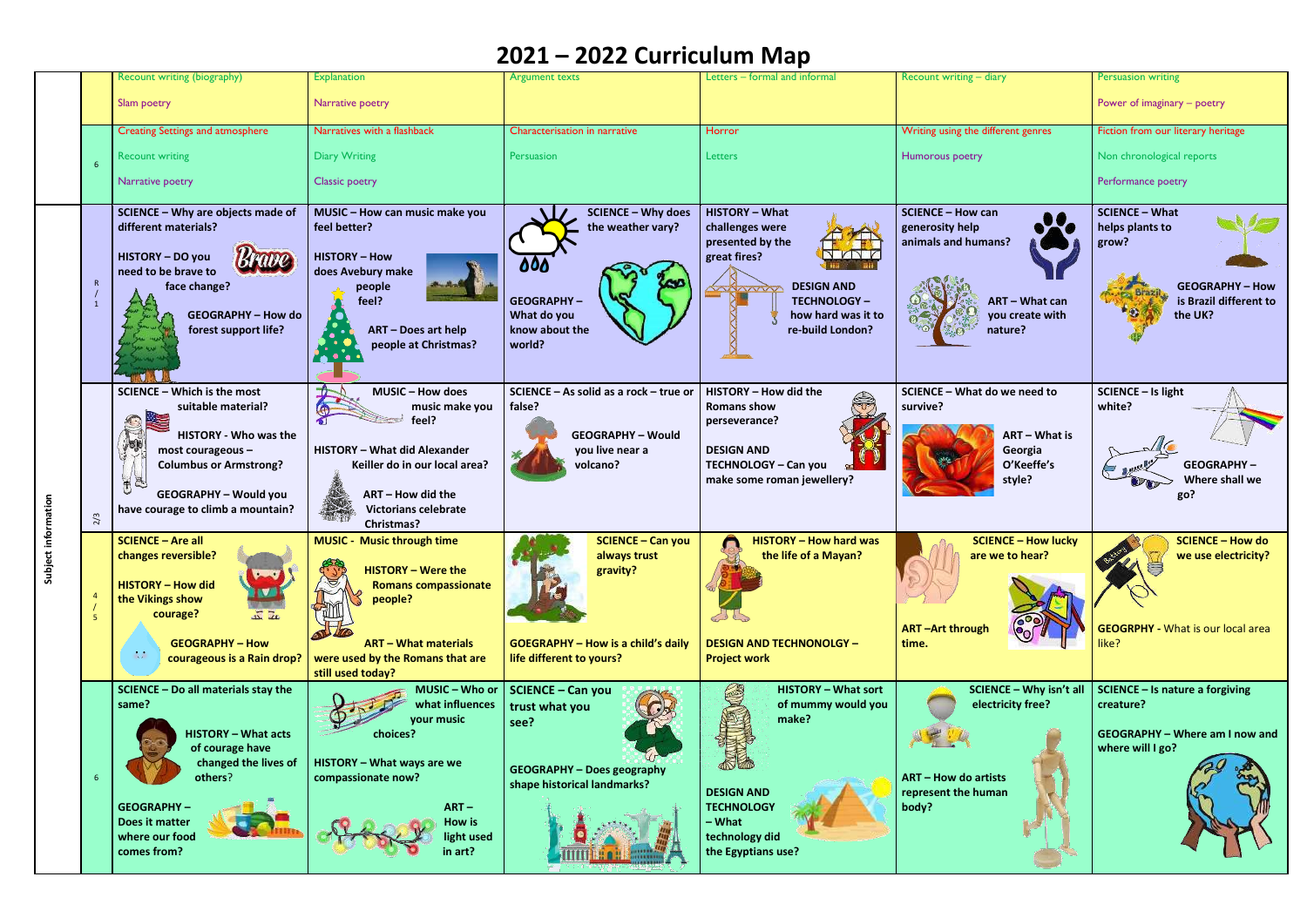|                       |                | Recount writing (biography)                                                                                                                                                                                                      | <b>Explanation</b>                                                                                                                                                                               | <b>Argument texts</b>                                                                                                         | Letters - formal and informal                                                                                                                         | Recount writing - diary                                                                                     | <b>Persuasion writing</b>                                                                                        |
|-----------------------|----------------|----------------------------------------------------------------------------------------------------------------------------------------------------------------------------------------------------------------------------------|--------------------------------------------------------------------------------------------------------------------------------------------------------------------------------------------------|-------------------------------------------------------------------------------------------------------------------------------|-------------------------------------------------------------------------------------------------------------------------------------------------------|-------------------------------------------------------------------------------------------------------------|------------------------------------------------------------------------------------------------------------------|
|                       |                | Slam poetry                                                                                                                                                                                                                      | Narrative poetry                                                                                                                                                                                 |                                                                                                                               |                                                                                                                                                       |                                                                                                             | Power of imaginary - poetry                                                                                      |
|                       |                | <b>Creating Settings and atmosphere</b>                                                                                                                                                                                          | Narratives with a flashback                                                                                                                                                                      | Characterisation in narrative                                                                                                 | Horror                                                                                                                                                | Writing using the different genres                                                                          | Fiction from our literary heritage                                                                               |
|                       |                | <b>Recount writing</b>                                                                                                                                                                                                           | <b>Diary Writing</b>                                                                                                                                                                             | Persuasion                                                                                                                    | Letters                                                                                                                                               | Humorous poetry                                                                                             | Non chronological reports                                                                                        |
|                       |                | Narrative poetry                                                                                                                                                                                                                 | <b>Classic poetry</b>                                                                                                                                                                            |                                                                                                                               |                                                                                                                                                       |                                                                                                             | Performance poetry                                                                                               |
|                       | 1              | SCIENCE - Why are objects made of<br>different materials?<br>HISTORY - DO you<br>need to be brave to<br>face change?                                                                                                             | MUSIC - How can music make you<br>feel better?<br><b>HISTORY - How</b><br>does Avebury make<br>people<br>feel?                                                                                   | <b>SCIENCE - Why does</b><br>the weather vary?<br>000<br><b>GEOGRAPHY-</b>                                                    | <b>HISTORY - What</b><br>challenges were<br>presented by the<br>great fires?<br><b>DESIGN AND</b><br>WAAN<br><b>TECHNOLOGY-</b>                       | <b>SCIENCE - How can</b><br>generosity help<br>animals and humans?<br><b>ART - What can</b>                 | <b>SCIENCE - What</b><br>helps plants to<br>grow?<br><b>GEOGRAPHY - How</b><br>is Brazil different to            |
|                       |                | <b>GEOGRAPHY - How do</b><br>forest support life?                                                                                                                                                                                | <b>ART - Does art help</b><br>people at Christmas?                                                                                                                                               | What do you<br>know about the<br>world?                                                                                       | how hard was it to<br>re-build London?                                                                                                                | you create with<br>nature?                                                                                  | the UK?                                                                                                          |
| information<br>Subjer | 2/3            | <b>SCIENCE - Which is the most</b><br>suitable material?<br>里<br><b>HISTORY - Who was the</b><br>most courageous $-$<br><b>Columbus or Armstrong?</b><br>高图<br><b>GEOGRAPHY - Would you</b><br>have courage to climb a mountain? | <b>MUSIC - How does</b><br>music make you<br>feel?<br>HISTORY - What did Alexander<br>Keiller do in our local area?<br>ART - How did the<br><b>Victorians celebrate</b><br>Christmas?            | SCIENCE - As solid as a rock - true or<br>false?<br><b>GEOGRAPHY - Would</b><br>you live near a<br>volcano?                   | HISTORY - How did the<br><b>Romans show</b><br>perseverance?<br><b>DESIGN AND</b><br><b>TECHNOLOGY - Can you</b><br>make some roman jewellery?        | SCIENCE - What do we need to<br>survive?<br>ART - What is<br>Georgia<br>O'Keeffe's<br>style?                | <b>SCIENCE - Is light</b><br>white?<br><b>GEOGRAPHY-</b><br>Where shall we<br>go?                                |
|                       | 5 <sub>1</sub> | <b>SCIENCE - Are all</b><br>changes reversible?<br><b>HISTORY - How did</b><br>the Vikings show<br>courage?<br>$\sqrt{2}$<br><b>GEOGRAPHY - How</b><br>$\sim$<br>courageous is a Rain drop?                                      | <b>MUSIC - Music through time</b><br><b>HISTORY - Were the</b><br><b>Romans compassionate</b><br>people?<br><b>ART - What materials</b><br>were used by the Romans that are<br>still used today? | <b>SCIENCE - Can you</b><br>always trust<br>gravity?<br><b>GOEGRAPHY - How is a child's daily</b><br>life different to yours? | <b>HISTORY - How hard was</b><br>the life of a Mayan?<br><b>DESIGN AND TECHNONOLGY -</b><br><b>Project work</b>                                       | <b>SCIENCE - How lucky</b><br>are we to hear?<br><b>ART-Art through</b><br>time.                            | <b>SCIENCE - How do</b><br>we use electricity?<br><b>GEOGRPHY - What is our local area</b><br>like?              |
|                       |                | SCIENCE - Do all materials stay the<br>same?<br><b>HISTORY - What acts</b><br>of courage have<br>changed the lives of<br>others?<br><b>GEOGRAPHY-</b><br>Does it matter<br>where our food<br>comes from?                         | MUSIC - Who or<br>what influences<br>your music<br>choices?<br>HISTORY - What ways are we<br>compassionate now?<br>$ART -$<br><b>How is</b><br>light used<br>in art?                             | <b>SCIENCE - Can you</b><br>trust what you<br>see?<br><b>GEOGRAPHY - Does geography</b><br>shape historical landmarks?        | <b>HISTORY - What sort</b><br>of mummy would you<br>make?<br><b>DESIGN AND</b><br><b>TECHNOLOGY</b><br>- What<br>technology did<br>the Egyptians use? | SCIENCE - Why isn't all<br>electricity free?<br><b>ART - How do artists</b><br>represent the human<br>body? | <b>SCIENCE - Is nature a forgiving</b><br>creature?<br><b>GEOGRAPHY - Where am I now and</b><br>where will I go? |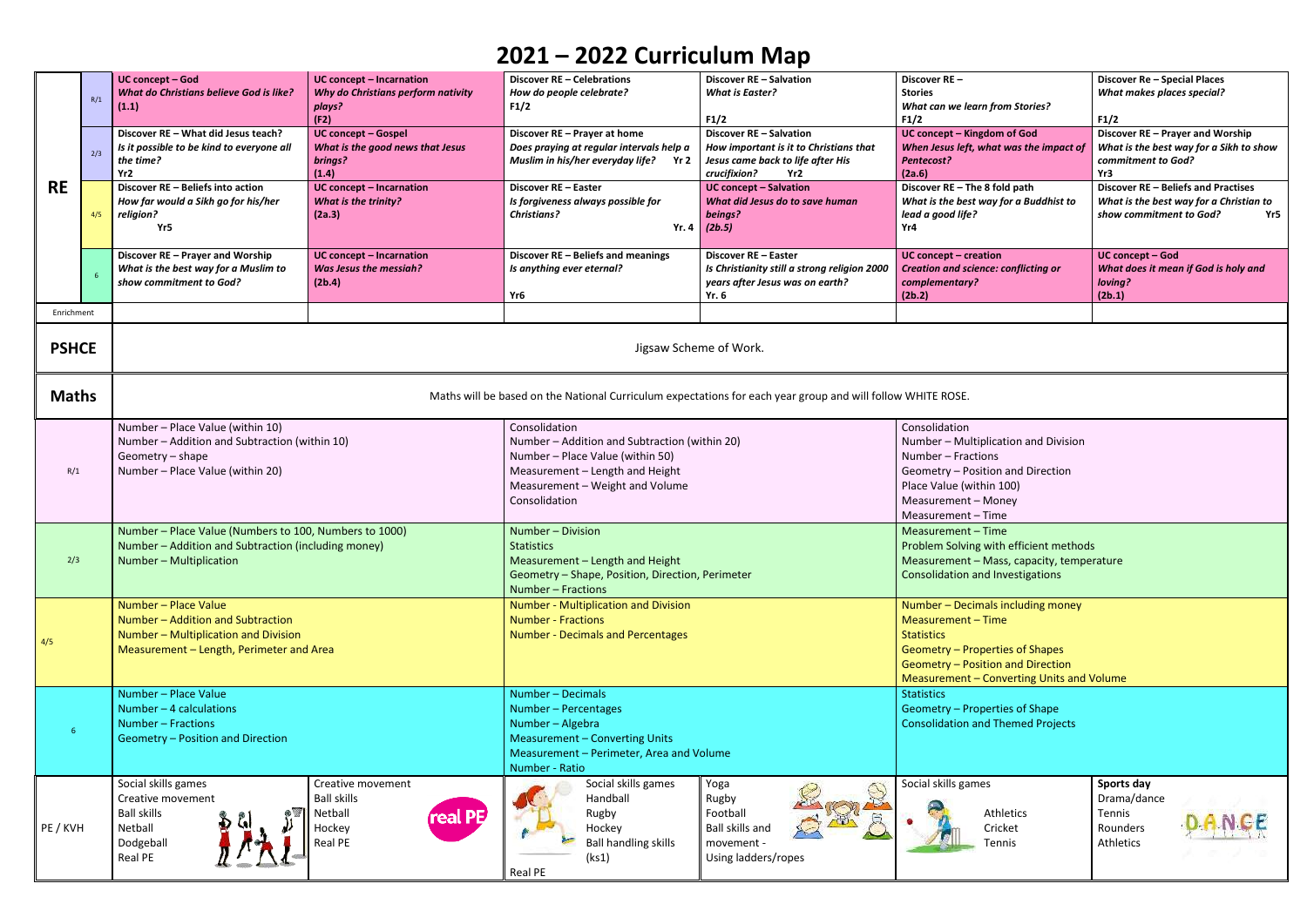|              | R/1 | <b>UC concept - Incarnation</b><br><b>UC concept - God</b><br>Discover RE - Celebrations<br>Why do Christians perform nativity<br><b>What do Christians believe God is like?</b><br>How do people celebrate?<br>F1/2<br>plays?<br>(1.1) |                                                                                            | Discover RE - Salvation<br><b>What is Easter?</b>                                                                                                                                         | Discover RE-<br><b>Stories</b><br><b>What can we learn from Stories?</b>                                                                     | Discover Re - Special Places<br><b>What makes places special?</b>                                                                                                                                 |                                                                                                                  |  |  |
|--------------|-----|-----------------------------------------------------------------------------------------------------------------------------------------------------------------------------------------------------------------------------------------|--------------------------------------------------------------------------------------------|-------------------------------------------------------------------------------------------------------------------------------------------------------------------------------------------|----------------------------------------------------------------------------------------------------------------------------------------------|---------------------------------------------------------------------------------------------------------------------------------------------------------------------------------------------------|------------------------------------------------------------------------------------------------------------------|--|--|
| <b>RE</b>    | 2/3 | Discover RE - What did Jesus teach?<br>Is it possible to be kind to everyone all<br>the time?<br>Yr2                                                                                                                                    | (F2)<br><b>UC concept - Gospel</b><br>What is the good news that Jesus<br>brings?<br>(1.4) | Discover RE - Prayer at home<br>Does praying at regular intervals help a<br>Muslim in his/her everyday life?<br>Yr 2                                                                      | F1/2<br><b>Discover RE - Salvation</b><br>How important is it to Christians that<br>Jesus came back to life after His<br>crucifixion?<br>Yr2 | F1/2<br>UC concept - Kingdom of God<br>When Jesus left, what was the impact of<br>Pentecost?<br>(2a.6)                                                                                            | F1/2<br>Discover RE - Prayer and Worship<br>What is the best way for a Sikh to show<br>commitment to God?<br>Yr3 |  |  |
|              | 4/5 | Discover RE - Beliefs into action<br>How far would a Sikh go for his/her<br>religion?<br>Yr5                                                                                                                                            | <b>UC concept - Incarnation</b><br>What is the trinity?<br>(2a.3)                          | Discover RE - Easter<br>Is forgiveness always possible for<br><b>Christians?</b>                                                                                                          | <b>UC concept - Salvation</b><br>What did Jesus do to save human<br>beings?<br>Yr. 4 $(2b.5)$                                                | Discover RE - The 8 fold path<br>What is the best way for a Buddhist to<br>lead a good life?<br>Yr4                                                                                               | Discover RE - Beliefs and Practises<br>What is the best way for a Christian to<br>show commitment to God?<br>Yr5 |  |  |
|              |     | Discover RE - Prayer and Worship<br>What is the best way for a Muslim to<br>show commitment to God?                                                                                                                                     | <b>UC concept - Incarnation</b><br><b>Was Jesus the messiah?</b><br>(2b.4)                 | Discover RE - Beliefs and meanings<br>Is anything ever eternal?<br>Yr <sub>6</sub>                                                                                                        | Discover RE - Easter<br>Is Christianity still a strong religion 2000<br>years after Jesus was on earth?<br>Yr. 6                             | UC concept - creation<br><b>Creation and science: conflicting or</b><br>complementary?<br>(2b.2)                                                                                                  | UC concept - God<br>What does it mean if God is holy and<br>loving?<br>(2b.1)                                    |  |  |
| Enrichment   |     |                                                                                                                                                                                                                                         |                                                                                            |                                                                                                                                                                                           |                                                                                                                                              |                                                                                                                                                                                                   |                                                                                                                  |  |  |
| <b>PSHCE</b> |     | Jigsaw Scheme of Work.                                                                                                                                                                                                                  |                                                                                            |                                                                                                                                                                                           |                                                                                                                                              |                                                                                                                                                                                                   |                                                                                                                  |  |  |
| <b>Maths</b> |     | Maths will be based on the National Curriculum expectations for each year group and will follow WHITE ROSE.                                                                                                                             |                                                                                            |                                                                                                                                                                                           |                                                                                                                                              |                                                                                                                                                                                                   |                                                                                                                  |  |  |
| R/1          |     | Number - Place Value (within 10)<br>Number - Addition and Subtraction (within 10)<br>Geometry - shape<br>Number - Place Value (within 20)                                                                                               |                                                                                            | Consolidation<br>Number - Addition and Subtraction (within 20)<br>Number - Place Value (within 50)<br>Measurement - Length and Height<br>Measurement - Weight and Volume<br>Consolidation |                                                                                                                                              | Consolidation<br>Number - Multiplication and Division<br>Number - Fractions<br>Geometry - Position and Direction<br>Place Value (within 100)<br>Measurement - Money<br>Measurement - Time         |                                                                                                                  |  |  |
| 2/3          |     | Number - Place Value (Numbers to 100, Numbers to 1000)<br>Number - Addition and Subtraction (including money)<br>Number – Multiplication                                                                                                |                                                                                            | Number - Division<br><b>Statistics</b><br>Measurement - Length and Height<br>Geometry - Shape, Position, Direction, Perimeter<br>Number - Fractions                                       |                                                                                                                                              | Measurement - Time<br>Problem Solving with efficient methods<br>Measurement - Mass, capacity, temperature<br><b>Consolidation and Investigations</b>                                              |                                                                                                                  |  |  |
| 4/5          |     | Number - Place Value<br>Number - Addition and Subtraction<br>Number - Multiplication and Division<br>Measurement - Length, Perimeter and Area                                                                                           |                                                                                            | Number - Multiplication and Division<br><b>Number - Fractions</b><br><b>Number - Decimals and Percentages</b>                                                                             |                                                                                                                                              | Number - Decimals including money<br>Measurement - Time<br><b>Statistics</b><br>Geometry - Properties of Shapes<br>Geometry - Position and Direction<br>Measurement - Converting Units and Volume |                                                                                                                  |  |  |
| $6^{\circ}$  |     | Number - Place Value<br>Number $-4$ calculations<br>Number - Fractions<br>Geometry - Position and Direction                                                                                                                             |                                                                                            | Number - Decimals<br>Number - Percentages<br>Number - Algebra<br><b>Measurement - Converting Units</b><br>Measurement - Perimeter, Area and Volume<br>Number - Ratio                      |                                                                                                                                              | <b>Statistics</b><br>Geometry - Properties of Shape<br><b>Consolidation and Themed Projects</b>                                                                                                   |                                                                                                                  |  |  |
| PE / KVH     |     | Social skills games<br>Creative movement<br><b>Ball skills</b><br>Netball<br>Dodgeball<br>Real PE                                                                                                                                       | Creative movement<br><b>Ball skills</b><br>real PE<br>Netball<br>Hockey<br><b>Real PE</b>  | Social skills games<br>Handball<br>Rugby<br>Hockey<br><b>Ball handling skills</b><br>(ks1)<br>Real PE                                                                                     | Yoga<br>Rugby<br>Football<br><b>Ball skills and</b><br>movement -<br>Using ladders/ropes                                                     | Social skills games<br>Athletics<br>Cricket<br>Tennis                                                                                                                                             | Sports day<br>Drama/dance<br>Tennis<br>Rounders<br>Athletics                                                     |  |  |